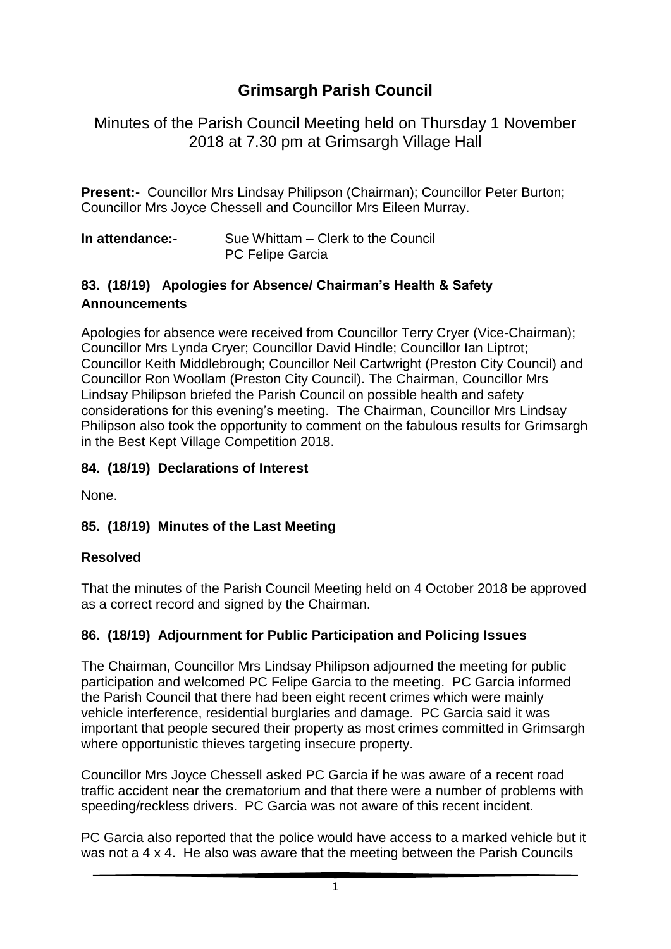# **Grimsargh Parish Council**

Minutes of the Parish Council Meeting held on Thursday 1 November 2018 at 7.30 pm at Grimsargh Village Hall

**Present:-** Councillor Mrs Lindsay Philipson (Chairman); Councillor Peter Burton; Councillor Mrs Joyce Chessell and Councillor Mrs Eileen Murray.

**In attendance:-** Sue Whittam – Clerk to the Council PC Felipe Garcia

#### **83. (18/19) Apologies for Absence/ Chairman's Health & Safety Announcements**

Apologies for absence were received from Councillor Terry Cryer (Vice-Chairman); Councillor Mrs Lynda Cryer; Councillor David Hindle; Councillor Ian Liptrot; Councillor Keith Middlebrough; Councillor Neil Cartwright (Preston City Council) and Councillor Ron Woollam (Preston City Council). The Chairman, Councillor Mrs Lindsay Philipson briefed the Parish Council on possible health and safety considerations for this evening's meeting. The Chairman, Councillor Mrs Lindsay Philipson also took the opportunity to comment on the fabulous results for Grimsargh in the Best Kept Village Competition 2018.

### **84. (18/19) Declarations of Interest**

None.

### **85. (18/19) Minutes of the Last Meeting**

#### **Resolved**

That the minutes of the Parish Council Meeting held on 4 October 2018 be approved as a correct record and signed by the Chairman.

### **86. (18/19) Adjournment for Public Participation and Policing Issues**

The Chairman, Councillor Mrs Lindsay Philipson adjourned the meeting for public participation and welcomed PC Felipe Garcia to the meeting. PC Garcia informed the Parish Council that there had been eight recent crimes which were mainly vehicle interference, residential burglaries and damage. PC Garcia said it was important that people secured their property as most crimes committed in Grimsargh where opportunistic thieves targeting insecure property.

Councillor Mrs Joyce Chessell asked PC Garcia if he was aware of a recent road traffic accident near the crematorium and that there were a number of problems with speeding/reckless drivers. PC Garcia was not aware of this recent incident.

PC Garcia also reported that the police would have access to a marked vehicle but it was not a 4 x 4. He also was aware that the meeting between the Parish Councils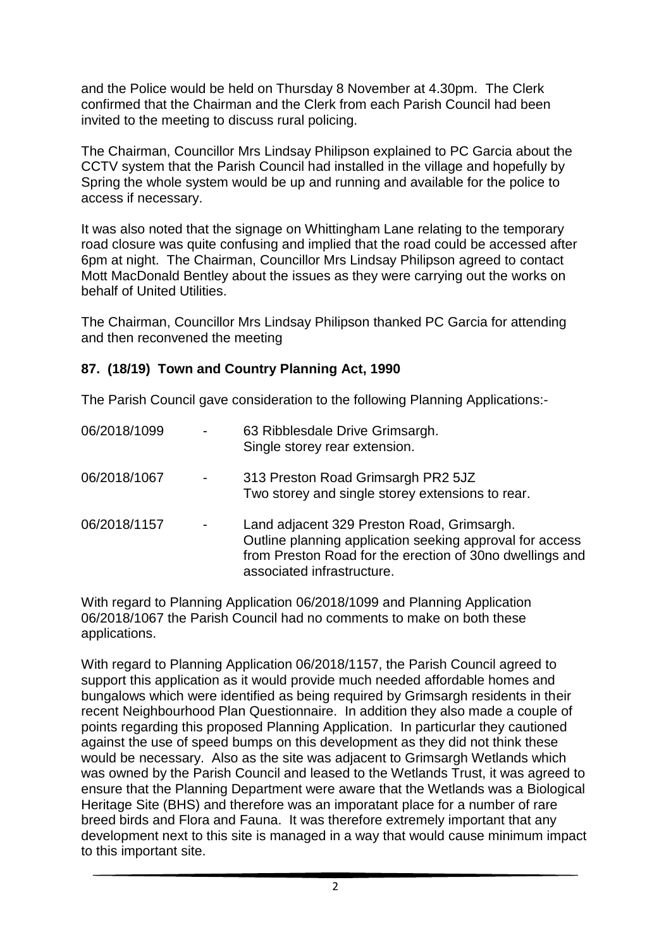and the Police would be held on Thursday 8 November at 4.30pm. The Clerk confirmed that the Chairman and the Clerk from each Parish Council had been invited to the meeting to discuss rural policing.

The Chairman, Councillor Mrs Lindsay Philipson explained to PC Garcia about the CCTV system that the Parish Council had installed in the village and hopefully by Spring the whole system would be up and running and available for the police to access if necessary.

It was also noted that the signage on Whittingham Lane relating to the temporary road closure was quite confusing and implied that the road could be accessed after 6pm at night. The Chairman, Councillor Mrs Lindsay Philipson agreed to contact Mott MacDonald Bentley about the issues as they were carrying out the works on behalf of United Utilities.

The Chairman, Councillor Mrs Lindsay Philipson thanked PC Garcia for attending and then reconvened the meeting

#### **87. (18/19) Town and Country Planning Act, 1990**

The Parish Council gave consideration to the following Planning Applications:-

| 06/2018/1099 | $\overline{\phantom{a}}$     | 63 Ribblesdale Drive Grimsargh.<br>Single storey rear extension.                                                                                                                                 |
|--------------|------------------------------|--------------------------------------------------------------------------------------------------------------------------------------------------------------------------------------------------|
| 06/2018/1067 | $\frac{1}{2}$                | 313 Preston Road Grimsargh PR2 5JZ<br>Two storey and single storey extensions to rear.                                                                                                           |
| 06/2018/1157 | $\qquad \qquad \blacksquare$ | Land adjacent 329 Preston Road, Grimsargh.<br>Outline planning application seeking approval for access<br>from Preston Road for the erection of 30no dwellings and<br>associated infrastructure. |

With regard to Planning Application 06/2018/1099 and Planning Application 06/2018/1067 the Parish Council had no comments to make on both these applications.

With regard to Planning Application 06/2018/1157, the Parish Council agreed to support this application as it would provide much needed affordable homes and bungalows which were identified as being required by Grimsargh residents in their recent Neighbourhood Plan Questionnaire. In addition they also made a couple of points regarding this proposed Planning Application. In particurlar they cautioned against the use of speed bumps on this development as they did not think these would be necessary. Also as the site was adjacent to Grimsargh Wetlands which was owned by the Parish Council and leased to the Wetlands Trust, it was agreed to ensure that the Planning Department were aware that the Wetlands was a Biological Heritage Site (BHS) and therefore was an imporatant place for a number of rare breed birds and Flora and Fauna. It was therefore extremely important that any development next to this site is managed in a way that would cause minimum impact to this important site.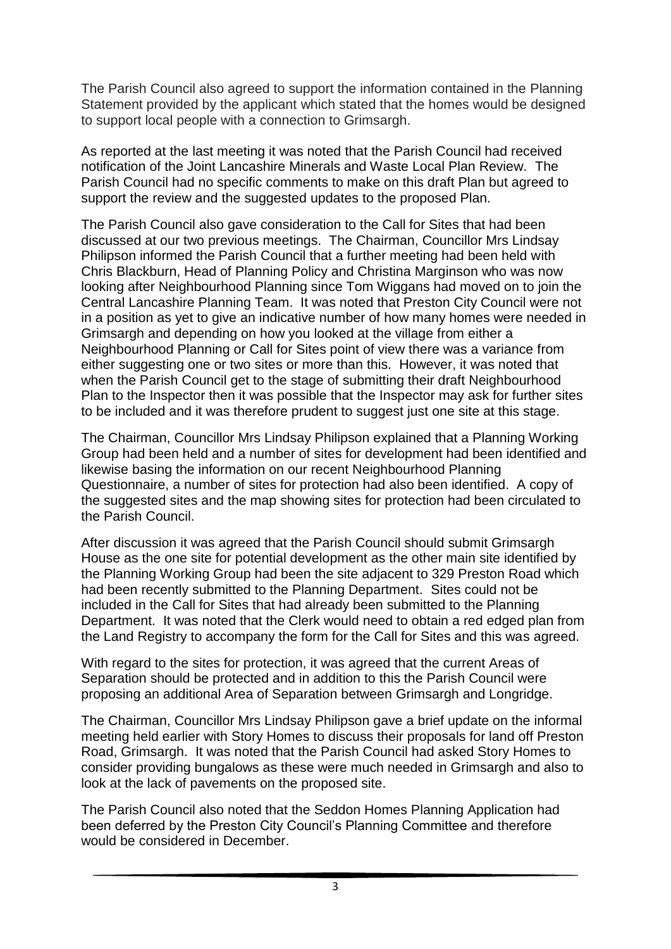The Parish Council also agreed to support the information contained in the Planning Statement provided by the applicant which stated that the homes would be designed to support local people with a connection to Grimsargh.

As reported at the last meeting it was noted that the Parish Council had received notification of the Joint Lancashire Minerals and Waste Local Plan Review. The Parish Council had no specific comments to make on this draft Plan but agreed to support the review and the suggested updates to the proposed Plan.

The Parish Council also gave consideration to the Call for Sites that had been discussed at our two previous meetings. The Chairman, Councillor Mrs Lindsay Philipson informed the Parish Council that a further meeting had been held with Chris Blackburn, Head of Planning Policy and Christina Marginson who was now looking after Neighbourhood Planning since Tom Wiggans had moved on to join the Central Lancashire Planning Team. It was noted that Preston City Council were not in a position as yet to give an indicative number of how many homes were needed in Grimsargh and depending on how you looked at the village from either a Neighbourhood Planning or Call for Sites point of view there was a variance from either suggesting one or two sites or more than this. However, it was noted that when the Parish Council get to the stage of submitting their draft Neighbourhood Plan to the Inspector then it was possible that the Inspector may ask for further sites to be included and it was therefore prudent to suggest just one site at this stage.

The Chairman, Councillor Mrs Lindsay Philipson explained that a Planning Working Group had been held and a number of sites for development had been identified and likewise basing the information on our recent Neighbourhood Planning Questionnaire, a number of sites for protection had also been identified. A copy of the suggested sites and the map showing sites for protection had been circulated to the Parish Council.

After discussion it was agreed that the Parish Council should submit Grimsargh House as the one site for potential development as the other main site identified by the Planning Working Group had been the site adjacent to 329 Preston Road which had been recently submitted to the Planning Department. Sites could not be included in the Call for Sites that had already been submitted to the Planning Department. It was noted that the Clerk would need to obtain a red edged plan from the Land Registry to accompany the form for the Call for Sites and this was agreed.

With regard to the sites for protection, it was agreed that the current Areas of Separation should be protected and in addition to this the Parish Council were proposing an additional Area of Separation between Grimsargh and Longridge.

The Chairman, Councillor Mrs Lindsay Philipson gave a brief update on the informal meeting held earlier with Story Homes to discuss their proposals for land off Preston Road, Grimsargh. It was noted that the Parish Council had asked Story Homes to consider providing bungalows as these were much needed in Grimsargh and also to look at the lack of pavements on the proposed site.

The Parish Council also noted that the Seddon Homes Planning Application had been deferred by the Preston City Council's Planning Committee and therefore would be considered in December.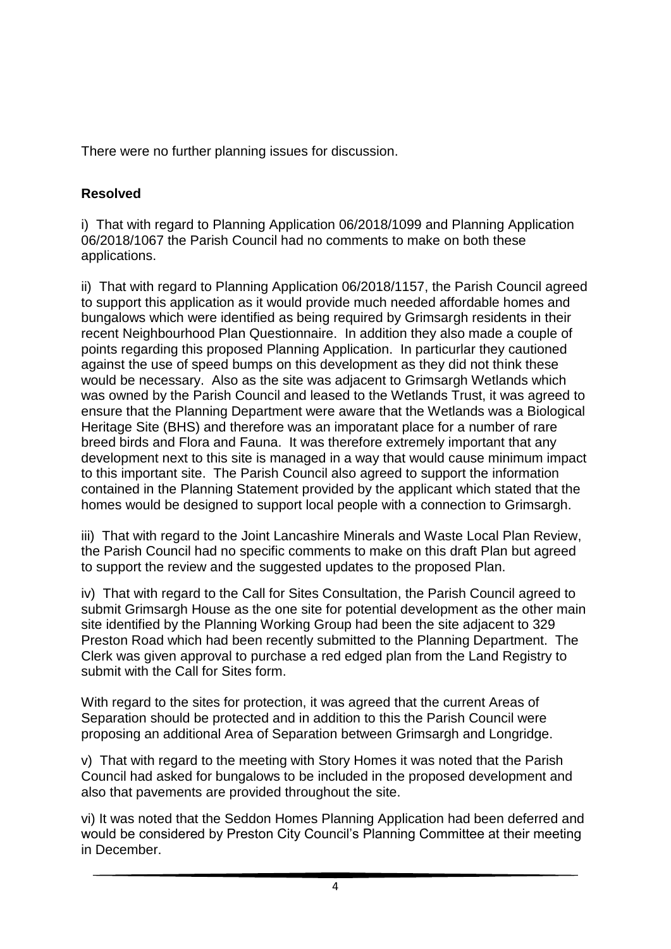There were no further planning issues for discussion.

## **Resolved**

i) That with regard to Planning Application 06/2018/1099 and Planning Application 06/2018/1067 the Parish Council had no comments to make on both these applications.

ii) That with regard to Planning Application 06/2018/1157, the Parish Council agreed to support this application as it would provide much needed affordable homes and bungalows which were identified as being required by Grimsargh residents in their recent Neighbourhood Plan Questionnaire. In addition they also made a couple of points regarding this proposed Planning Application. In particurlar they cautioned against the use of speed bumps on this development as they did not think these would be necessary. Also as the site was adjacent to Grimsargh Wetlands which was owned by the Parish Council and leased to the Wetlands Trust, it was agreed to ensure that the Planning Department were aware that the Wetlands was a Biological Heritage Site (BHS) and therefore was an imporatant place for a number of rare breed birds and Flora and Fauna. It was therefore extremely important that any development next to this site is managed in a way that would cause minimum impact to this important site. The Parish Council also agreed to support the information contained in the Planning Statement provided by the applicant which stated that the homes would be designed to support local people with a connection to Grimsargh.

iii) That with regard to the Joint Lancashire Minerals and Waste Local Plan Review, the Parish Council had no specific comments to make on this draft Plan but agreed to support the review and the suggested updates to the proposed Plan.

iv) That with regard to the Call for Sites Consultation, the Parish Council agreed to submit Grimsargh House as the one site for potential development as the other main site identified by the Planning Working Group had been the site adjacent to 329 Preston Road which had been recently submitted to the Planning Department. The Clerk was given approval to purchase a red edged plan from the Land Registry to submit with the Call for Sites form.

With regard to the sites for protection, it was agreed that the current Areas of Separation should be protected and in addition to this the Parish Council were proposing an additional Area of Separation between Grimsargh and Longridge.

v) That with regard to the meeting with Story Homes it was noted that the Parish Council had asked for bungalows to be included in the proposed development and also that pavements are provided throughout the site.

vi) It was noted that the Seddon Homes Planning Application had been deferred and would be considered by Preston City Council's Planning Committee at their meeting in December.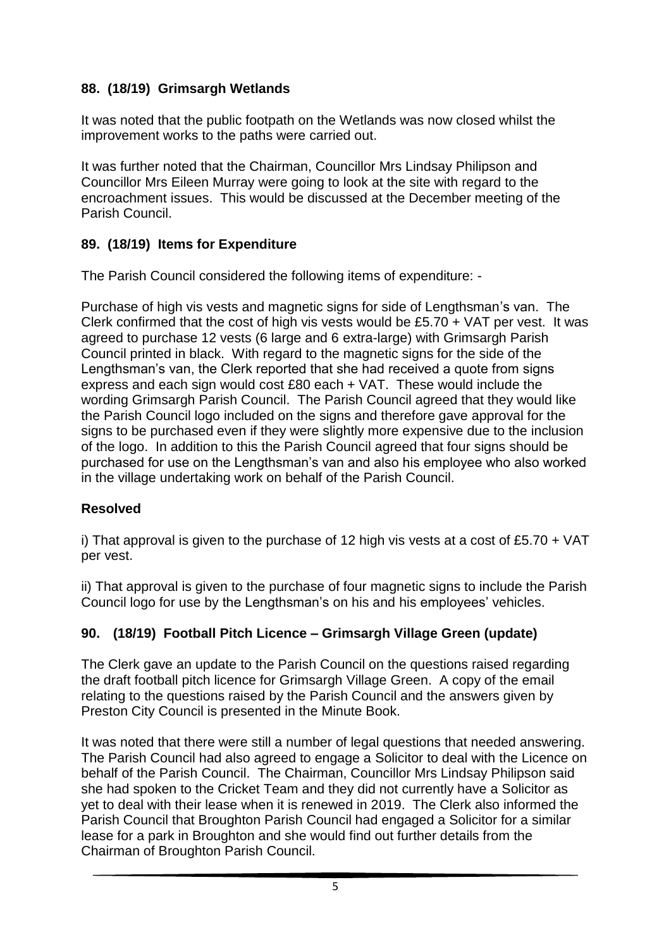### **88. (18/19) Grimsargh Wetlands**

It was noted that the public footpath on the Wetlands was now closed whilst the improvement works to the paths were carried out.

It was further noted that the Chairman, Councillor Mrs Lindsay Philipson and Councillor Mrs Eileen Murray were going to look at the site with regard to the encroachment issues. This would be discussed at the December meeting of the Parish Council.

### **89. (18/19) Items for Expenditure**

The Parish Council considered the following items of expenditure: -

Purchase of high vis vests and magnetic signs for side of Lengthsman's van. The Clerk confirmed that the cost of high vis vests would be £5.70 + VAT per vest. It was agreed to purchase 12 vests (6 large and 6 extra-large) with Grimsargh Parish Council printed in black. With regard to the magnetic signs for the side of the Lengthsman's van, the Clerk reported that she had received a quote from signs express and each sign would cost £80 each + VAT. These would include the wording Grimsargh Parish Council. The Parish Council agreed that they would like the Parish Council logo included on the signs and therefore gave approval for the signs to be purchased even if they were slightly more expensive due to the inclusion of the logo. In addition to this the Parish Council agreed that four signs should be purchased for use on the Lengthsman's van and also his employee who also worked in the village undertaking work on behalf of the Parish Council.

### **Resolved**

i) That approval is given to the purchase of 12 high vis vests at a cost of £5.70  $+$  VAT per vest.

ii) That approval is given to the purchase of four magnetic signs to include the Parish Council logo for use by the Lengthsman's on his and his employees' vehicles.

### **90. (18/19) Football Pitch Licence – Grimsargh Village Green (update)**

The Clerk gave an update to the Parish Council on the questions raised regarding the draft football pitch licence for Grimsargh Village Green. A copy of the email relating to the questions raised by the Parish Council and the answers given by Preston City Council is presented in the Minute Book.

It was noted that there were still a number of legal questions that needed answering. The Parish Council had also agreed to engage a Solicitor to deal with the Licence on behalf of the Parish Council. The Chairman, Councillor Mrs Lindsay Philipson said she had spoken to the Cricket Team and they did not currently have a Solicitor as yet to deal with their lease when it is renewed in 2019. The Clerk also informed the Parish Council that Broughton Parish Council had engaged a Solicitor for a similar lease for a park in Broughton and she would find out further details from the Chairman of Broughton Parish Council.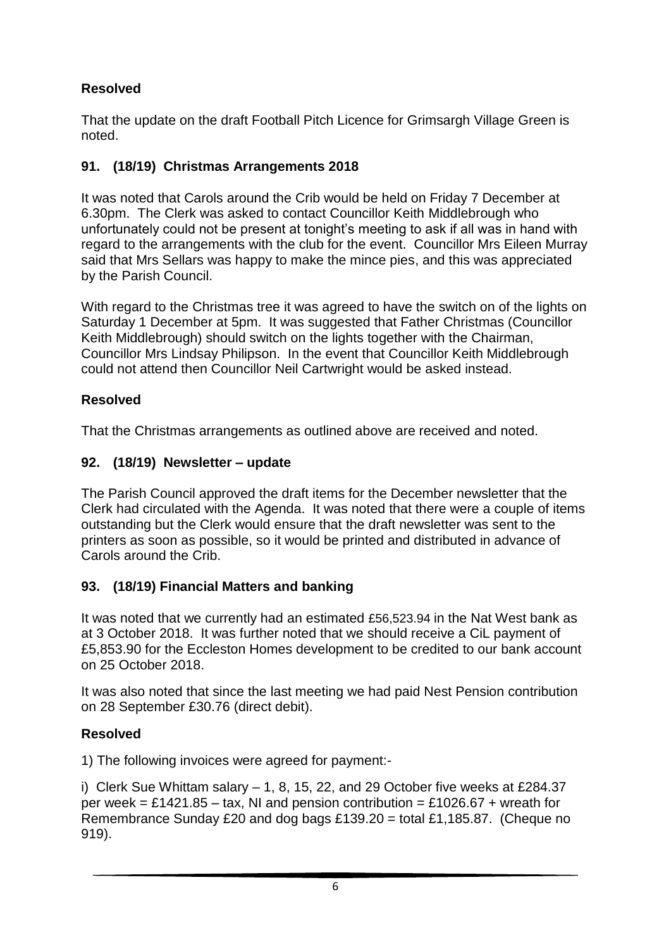# **Resolved**

That the update on the draft Football Pitch Licence for Grimsargh Village Green is noted.

# **91. (18/19) Christmas Arrangements 2018**

It was noted that Carols around the Crib would be held on Friday 7 December at 6.30pm. The Clerk was asked to contact Councillor Keith Middlebrough who unfortunately could not be present at tonight's meeting to ask if all was in hand with regard to the arrangements with the club for the event. Councillor Mrs Eileen Murray said that Mrs Sellars was happy to make the mince pies, and this was appreciated by the Parish Council.

With regard to the Christmas tree it was agreed to have the switch on of the lights on Saturday 1 December at 5pm. It was suggested that Father Christmas (Councillor Keith Middlebrough) should switch on the lights together with the Chairman, Councillor Mrs Lindsay Philipson. In the event that Councillor Keith Middlebrough could not attend then Councillor Neil Cartwright would be asked instead.

# **Resolved**

That the Christmas arrangements as outlined above are received and noted.

## **92. (18/19) Newsletter – update**

The Parish Council approved the draft items for the December newsletter that the Clerk had circulated with the Agenda. It was noted that there were a couple of items outstanding but the Clerk would ensure that the draft newsletter was sent to the printers as soon as possible, so it would be printed and distributed in advance of Carols around the Crib.

## **93. (18/19) Financial Matters and banking**

It was noted that we currently had an estimated £56,523.94 in the Nat West bank as at 3 October 2018. It was further noted that we should receive a CiL payment of £5,853.90 for the Eccleston Homes development to be credited to our bank account on 25 October 2018.

It was also noted that since the last meeting we had paid Nest Pension contribution on 28 September £30.76 (direct debit).

## **Resolved**

1) The following invoices were agreed for payment:-

i) Clerk Sue Whittam salary  $-1$ , 8, 15, 22, and 29 October five weeks at £284.37 per week = £1421.85 – tax, NI and pension contribution = £1026.67 + wreath for Remembrance Sunday £20 and dog bags £139.20 = total £1,185.87. (Cheque no 919).